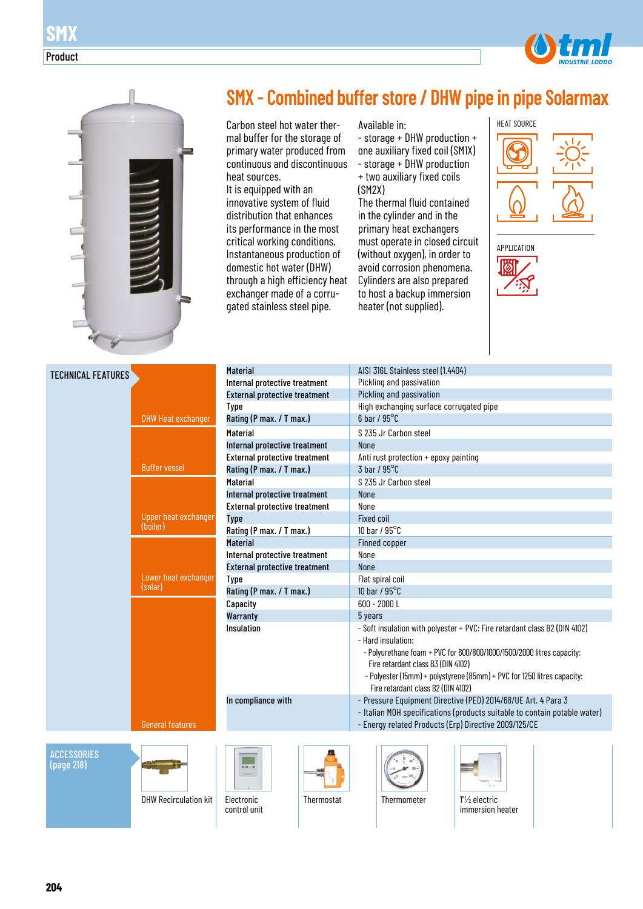

primary water produced from continuous and discontinuous

heat sources. It is equipped with an innovative system of fluid distribution that enhances its performance in the most critical working conditions. Instantaneous production of domestic hot water (DHW) through a high efficiency heat exchanger made of a corrugated stainless steel pipe.

- storage + DHW production + one auxiliary fixed coil (SM1X) - storage + DHW production + two auxiliary fixed coils (SM2X)

The thermal fluid contained in the cylinder and in the primary heat exchangers must operate in closed circuit (without oxygen), in order to avoid corrosion phenomena. Cylinders are also prepared to host a backup immersion heater (not supplied).





| <b>TECHNICAL FEATURES</b> |                              | <b>Material</b>                                                       |            | AISI 316L Stainless steel (1.4404)                                    |                                                                            |  |  |  |  |
|---------------------------|------------------------------|-----------------------------------------------------------------------|------------|-----------------------------------------------------------------------|----------------------------------------------------------------------------|--|--|--|--|
|                           |                              | Internal protective treatment                                         |            | Pickling and passivation                                              |                                                                            |  |  |  |  |
|                           |                              | <b>External protective treatment</b>                                  |            | Pickling and passivation                                              |                                                                            |  |  |  |  |
|                           |                              | <b>Type</b>                                                           |            | High exchanging surface corrugated pipe                               |                                                                            |  |  |  |  |
|                           | <b>DHW Heat exchanger</b>    | Rating (P max. / T max.)                                              |            | $6$ bar / $95^{\circ}$ C                                              |                                                                            |  |  |  |  |
|                           |                              | <b>Material</b>                                                       |            | S 235 Jr Carbon steel                                                 |                                                                            |  |  |  |  |
|                           |                              | Internal protective treatment                                         |            | <b>None</b>                                                           |                                                                            |  |  |  |  |
|                           |                              | <b>External protective treatment</b>                                  |            | Anti rust protection + epoxy painting                                 |                                                                            |  |  |  |  |
|                           | <b>Buffer vessel</b>         | Rating (P max. / T max.)                                              |            | $3$ bar / $95^{\circ}$ C                                              |                                                                            |  |  |  |  |
|                           |                              | <b>Material</b>                                                       |            | S 235 Jr Carbon steel                                                 |                                                                            |  |  |  |  |
|                           |                              | Internal protective treatment                                         |            | <b>None</b>                                                           |                                                                            |  |  |  |  |
|                           |                              | <b>External protective treatment</b>                                  |            | None                                                                  |                                                                            |  |  |  |  |
|                           | Upper heat exchanger         | <b>Type</b>                                                           |            | <b>Fixed coil</b>                                                     |                                                                            |  |  |  |  |
|                           | (boiler)                     | Rating (P max. / T max.)                                              |            | 10 bar / 95°C                                                         |                                                                            |  |  |  |  |
|                           |                              | <b>Material</b>                                                       |            | Finned copper                                                         |                                                                            |  |  |  |  |
|                           |                              | Internal protective treatment<br><b>External protective treatment</b> |            | None                                                                  |                                                                            |  |  |  |  |
|                           |                              |                                                                       |            | <b>None</b>                                                           |                                                                            |  |  |  |  |
|                           | Lower heat exchanger         | <b>Type</b>                                                           |            | Flat spiral coil                                                      |                                                                            |  |  |  |  |
|                           | (solar)                      | Rating (P max. / T max.)                                              |            | 10 bar / $95^{\circ}$ C                                               |                                                                            |  |  |  |  |
|                           |                              | Capacity                                                              |            | $600 - 2000$ L                                                        |                                                                            |  |  |  |  |
|                           |                              | <b>Warranty</b>                                                       |            | 5 years                                                               |                                                                            |  |  |  |  |
|                           |                              | Insulation                                                            |            |                                                                       | - Soft insulation with polyester + PVC: Fire retardant class B2 (DIN 4102) |  |  |  |  |
|                           |                              |                                                                       |            | - Hard insulation:                                                    |                                                                            |  |  |  |  |
|                           |                              |                                                                       |            | - Polyurethane foam + PVC for 600/800/1000/1500/2000 litres capacity: |                                                                            |  |  |  |  |
|                           |                              |                                                                       |            | Fire retardant class B3 (DIN 4102)                                    |                                                                            |  |  |  |  |
|                           |                              |                                                                       |            |                                                                       | - Polyester (15mm) + polystyrene (85mm) + PVC for 1250 litres capacity:    |  |  |  |  |
|                           |                              |                                                                       |            | Fire retardant class B2 (DIN 4102)                                    |                                                                            |  |  |  |  |
|                           |                              | In compliance with                                                    |            |                                                                       | - Pressure Equipment Directive (PED) 2014/68/UE Art. 4 Para 3              |  |  |  |  |
|                           |                              |                                                                       |            |                                                                       | - Italian MOH specifications (products suitable to contain potable water)  |  |  |  |  |
|                           | <b>General features</b>      |                                                                       |            |                                                                       | - Energy related Products (Erp) Directive 2009/125/CE                      |  |  |  |  |
|                           |                              |                                                                       |            |                                                                       |                                                                            |  |  |  |  |
| <b>ACCESSORIES</b>        |                              |                                                                       |            |                                                                       |                                                                            |  |  |  |  |
| (page 218)                |                              | u u<br><b>Market</b>                                                  |            |                                                                       |                                                                            |  |  |  |  |
|                           |                              |                                                                       |            |                                                                       |                                                                            |  |  |  |  |
|                           | <b>DHW Recirculation kit</b> | Electronic                                                            | Thermostat | Thermometer                                                           | 1"/ <sub>2</sub> electric                                                  |  |  |  |  |
|                           |                              | control unit                                                          |            |                                                                       | immersion heater                                                           |  |  |  |  |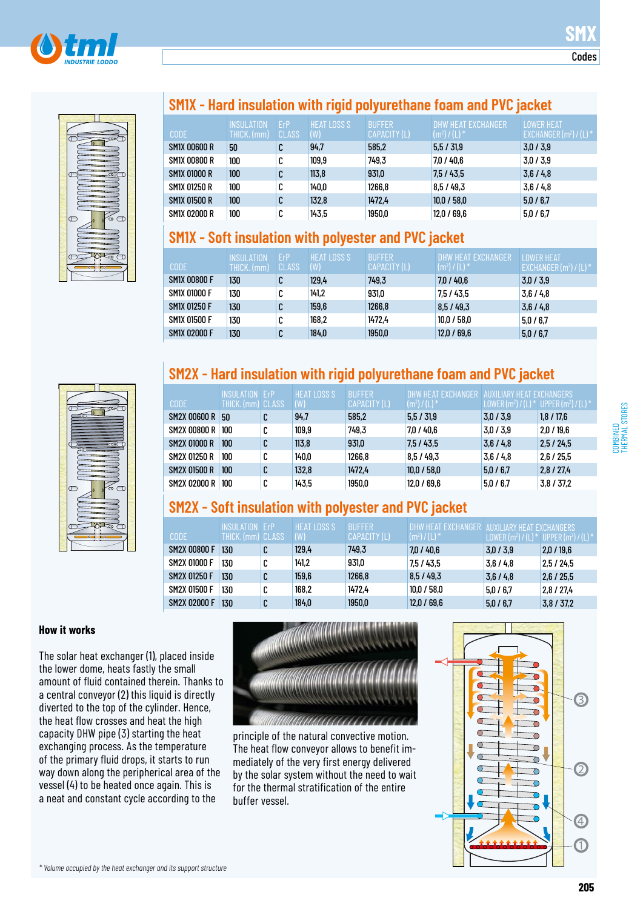



## **SM1X - Hard insulation with rigid polyurethane foam and PVC jacket**

| <b>CODE</b>  | <b>INSULATION</b><br>THICK. (mm) | <b>FrP</b><br><b>CLASS</b> | <b>HEAT LOSS S</b><br>(W) | <b>BUFFER</b><br>CAPACITY (L) | DHW HEAT EXCHANGER<br>$(m^2) / (L)^*$ | <b>LOWER HEAT</b><br>EXCHANGER $(m^2) / (L)^*$ |
|--------------|----------------------------------|----------------------------|---------------------------|-------------------------------|---------------------------------------|------------------------------------------------|
| SM1X 00600 R | 50                               |                            | 94,7                      | 585,2                         | 5,5/31,9                              | 3,0/3,9                                        |
| SM1X 00800 R | 100                              |                            | 109,9                     | 749,3                         | 7,0/40,6                              | 3,0/3,9                                        |
| SM1X 01000 R | 100                              |                            | 113.8                     | 931,0                         | 7,5/43,5                              | 3,6/4,8                                        |
| SM1X 01250 R | 100                              |                            | 140,0                     | 1266,8                        | 8.5/49.3                              | 3,6/4,8                                        |
| SM1X 01500 R | 100                              | υ                          | 132,8                     | 1472.4                        | 10,0/58,0                             | 5,0/6,7                                        |
| SM1X 02000 R | 100                              |                            | 143,5                     | 1950,0                        | 12,0/69,6                             | 5,0/6,7                                        |

# **SM1X - Soft insulation with polyester and PVC jacket**

| <b>CODE</b>         | <b>INSULATION</b><br>THICK. (mm) | ErP<br>CLASS | <b>HEAT LOSS S</b><br>(W) | <b>BUFFER</b><br>CAPACITY (L) | DHW HEAT EXCHANGER<br>$(m^2) / (L)^*$ | <b>LOWER HEAT</b><br>EXCHANGER $(m^2) / (L)^*$ |
|---------------------|----------------------------------|--------------|---------------------------|-------------------------------|---------------------------------------|------------------------------------------------|
| <b>SM1X 00800 F</b> | 130                              | u            | 129,4                     | 749,3                         | 7,0/40,6                              | 3,0/3,9                                        |
| <b>SM1X 01000 F</b> | 130                              | u            | 141.2                     | 931,0                         | 7,5/43,5                              | 3.6/4.8                                        |
| SM1X 01250 F        | 130                              |              | 159,6                     | 1266,8                        | 8,5/49,3                              | 3.6/4.8                                        |
| SM1X 01500 F        | 130                              | u            | 168,2                     | 1472.4                        | 10.0 / 58.0                           | 5.0/6.7                                        |
| <b>SM1X 02000 F</b> | 130                              | u            | 184,0                     | 1950,0                        | 12,0/69,6                             | 5,0/6,7                                        |

# **SM2X - Hard insulation with rigid polyurethane foam and PVC jacket**

| <b>CODE</b>         | INSULATION<br>THICK.(mm) CLASS | FrP | <b>HEAT LOSS S</b><br>(W) | <b>BUFFER</b><br>CAPACITY (L) | $(m^2) / (\lfloor )^*$ | ' AIIXII IARY HEAT FXCHANGERS<br>LOWER (m <sup>2</sup> ) / (L) * UPPER (m <sup>2</sup> ) / (L) * |            |
|---------------------|--------------------------------|-----|---------------------------|-------------------------------|------------------------|--------------------------------------------------------------------------------------------------|------------|
| <b>SM2X 00600 R</b> | 50                             | C   | 94.7                      | 585,2                         | 5,5/31,9               | 3,0/3,9                                                                                          | 1,8/17,6   |
| <b>SM2X 00800 R</b> | 100                            | u   | 109,9                     | 749,3                         | 7.0 / 40.6             | 3,0/3,9                                                                                          | 2,0/19,6   |
| <b>SM2X 01000 R</b> | 100                            | u   | 113.8                     | 931,0                         | 7.5/43.5               | 3,6/4,8                                                                                          | 2,5/24,5   |
| SM2X 01250 R        | 100                            | u   | 140,0                     | 1266,8                        | 8.5/49.3               | 3.6/4.8                                                                                          | 2.6 / 25.5 |
| <b>SM2X 01500 R</b> | 100                            | u   | 132,8                     | 1472.4                        | 10,0 / 58,0            | 5,0/6,7                                                                                          | 2,8/27,4   |
| <b>SM2X 02000 R</b> | 100                            | u   | 143,5                     | 1950,0                        | 12,0/69,6              | 5,0/6,7                                                                                          | 3,8/37,2   |

# **SM2X - Soft insulation with polyester and PVC jacket**

| <b>CODE</b>         | <b>INSULATION FrP</b><br>THICK. (mm) CLASS |   | <b>HEAT LOSS S</b><br>(W) | <b>BUFFFR</b><br>CAPACITY (L) | DHW HEAT FXCHANGER . AUXILIARY HEAT FXCHANGERS<br>$(m^{2})/(L)$ | LOWER $(m^2) / (L)$ | $(*)$ UPPER (m <sup>2</sup> ) / (L) $*$ |
|---------------------|--------------------------------------------|---|---------------------------|-------------------------------|-----------------------------------------------------------------|---------------------|-----------------------------------------|
| <b>SM2X 00800 F</b> | 130                                        |   | 129,4                     | 749,3                         | 7,0/40,6                                                        | 3.0 / 3.9           | 2,0/19,6                                |
| <b>SM2X 01000 F</b> | 130                                        |   | 141.2                     | 931,0                         | 7.5 / 43.5                                                      | 3.6/4.8             | 2,5/24,5                                |
| <b>SM2X 01250 F</b> | 130                                        |   | 159,6                     | 1266,8                        | 8,5/49,3                                                        | 3.6/4.8             | 2,6/25,5                                |
| SM2X 01500 F        | 130                                        | u | 168,2                     | 1472.4                        | 10.0 / 58.0                                                     | 5.0 / 6.7           | 2.8 / 27.4                              |
| <b>SM2X 02000 F</b> | 130                                        | u | 184,0                     | 1950,0                        | 12,0/69,6                                                       | 5.0 / 6.7           | 3,8/37,2                                |

### **How it works**

The solar heat exchanger (1), placed inside the lower dome, heats fastly the small amount of fluid contained therein. Thanks to a central conveyor (2) this liquid is directly diverted to the top of the cylinder. Hence, the heat flow crosses and heat the high capacity DHW pipe (3) starting the heat exchanging process. As the temperature of the primary fluid drops, it starts to run way down along the peripherical area of the vessel (4) to be heated once again. This is a neat and constant cycle according to the



principle of the natural convective motion. The heat flow conveyor allows to benefit immediately of the very first energy delivered by the solar system without the need to wait for the thermal stratification of the entire buffer vessel.

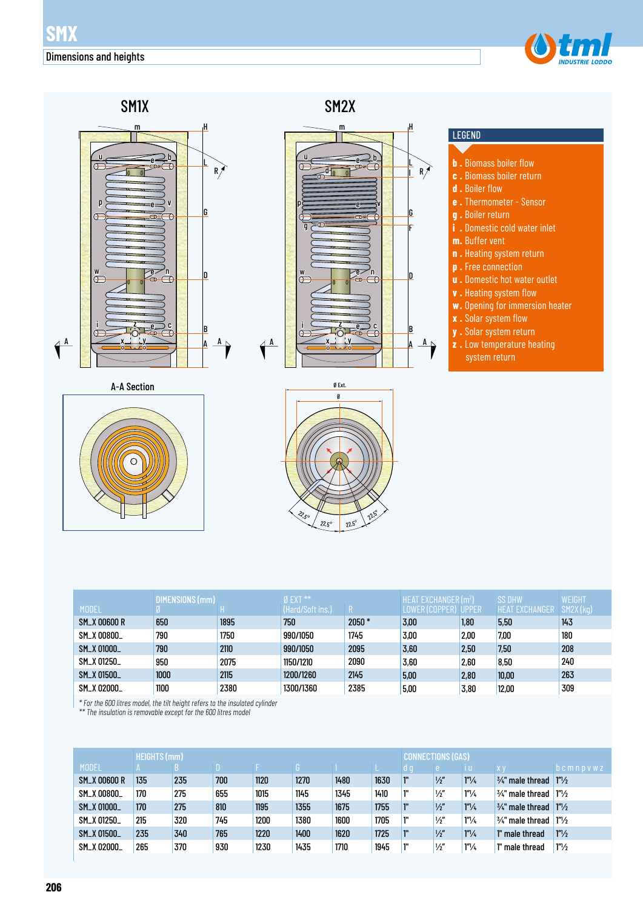



|                     | DIMENSIONS (mm) |      | $0$ EXT $**$     |         | <b>HEAT EXCHANGER (m<sup>2</sup>)</b> |      | <b>SS DHW</b>         | <b>WEIGHT</b> |
|---------------------|-----------------|------|------------------|---------|---------------------------------------|------|-----------------------|---------------|
| <b>MODEL</b>        |                 |      | (Hard/Soft ins.) |         | LOWER (COPPER) UPPER                  |      | <b>HEAT EXCHANGER</b> | SM2X (kg)     |
| <b>SM_X 00600 R</b> | 650             | 1895 | 750              | $2050*$ | 3,00                                  | 1,80 | 5,50                  | 143           |
| SM_X 00800_         | 790             | 1750 | 990/1050         | 1745    | 3.00                                  | 2,00 | 7,00                  | 180           |
| SM_X 01000_         | 790             | 2110 | 990/1050         | 2095    | 3,60                                  | 2,50 | 7,50                  | 208           |
| SM_X 01250_         | 950             | 2075 | 1150/1210        | 2090    | 3,60                                  | 2,60 | 8,50                  | 240           |
| SM_X 01500_         | 1000            | 2115 | 1200/1260        | 2145    | 5,00                                  | 2,80 | 10,00                 | 263           |
| SM_X 02000_         | 1100            | 2380 | 1300/1360        | 2385    | 5,00                                  | 3,80 | 12,00                 | 309           |

*\* For the 600 litres model, the tilt height refers to the insulated cylinder \*\* The insulation is removable except for the 600 litres model*

| <b>HEIGHTS (mm)</b> |  |                                             |      |      |      |      |      | <b>CONNECTIONS (GAS)</b> |                      |                             |                             |
|---------------------|--|---------------------------------------------|------|------|------|------|------|--------------------------|----------------------|-----------------------------|-----------------------------|
|                     |  |                                             |      |      |      |      | rd g | e.                       | тu                   | XV                          | $b$ c m n p v w z           |
| 135                 |  | 700                                         | 1120 | 1270 | 1480 | 1630 | ľ"   | $\frac{1}{2}$            | 1 <sup>n</sup> /4    | $\frac{3}{4}$ " male thread | 1 <sup>n</sup> /2           |
| 170                 |  | 655                                         | 1015 | 1145 | 1345 | 1410 | ľ"   | $\frac{1}{2}$            | $1^{\prime\prime}/4$ | $\frac{3}{4}$ " male thread | 1 <sup>n</sup> /2           |
| 170                 |  | 810                                         | 1195 | 1355 | 1675 | 1755 | ľ"   | $\frac{1}{2}$            | $1''\frac{1}{4}$     |                             | 1 <sup>n</sup> /2           |
| 215                 |  | 745                                         | 1200 | 1380 | 1600 | 1705 | 1"   | $\frac{1}{2}$            | $1^{\prime\prime}/4$ | $\frac{3}{4}$ " male thread | 1 <sup>n</sup> /2           |
| 235                 |  | 765                                         | 1220 | 1400 | 1620 | 1725 | 1"   | $\frac{1}{2}$            | $1''\frac{1}{4}$     | 1" male thread              | $1''\frac{1}{2}$            |
| 265                 |  | 930                                         | 1230 | 1435 | 1710 | 1945 | 1"   | $\frac{1}{2}$            | $1''\frac{1}{4}$     | 1" male thread              | $1''\frac{1}{2}$            |
|                     |  | B<br>235<br>275<br>275<br>320<br>340<br>370 |      |      |      |      |      |                          |                      |                             | $\frac{3}{4}$ " male thread |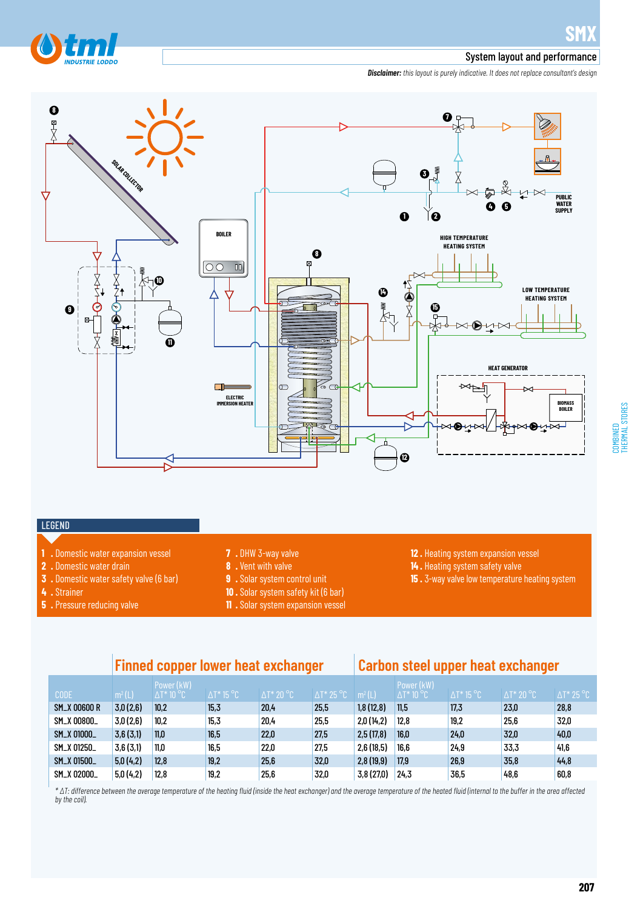

#### System layout and performance

*Disclaimer: this layout is purely indicative. It does not replace consultant's design*



# COMBINED<br>THERMAL STORES THERMAL STORES

#### LEGEND

- 
- **1 .** Domestic water expansion vessel
- **2 .** Domestic water drain
- **3 .** Domestic water safety valve (6 bar)

 $5.0(4.2)$  $5,0(4,2)$ 

12,8  $12,8$ 

19,2 19,2

**4 .** Strainer

SM\_X 01500\_ SM\_X 02000\_

**5 .** Pressure reducing valve

- **7 .** DHW 3-way valve
- **8 .** Vent with valve
- **9 .** Solar system control unit
- **10 .** Solar system safety kit (6 bar)
- **11 .** Solar system expansion vessel
- **12 .** Heating system expansion vessel **14 .** Heating system safety valve

26,9 36,5

**15 .** 3-way valve low temperature heating system

35,8 48,6

|                     | <b>Finned copper lower heat exchanger</b> |                                  |                    |                    |                    | Carbon steel upper heat exchanger |                                  |                    |                    |  |  |
|---------------------|-------------------------------------------|----------------------------------|--------------------|--------------------|--------------------|-----------------------------------|----------------------------------|--------------------|--------------------|--|--|
| <b>CODE</b>         | m <sup>2</sup> (L)                        | Power (kW)<br>$\Delta T^*$ 10 °C | $\Delta T^*$ 15 °C | $\Delta T^*$ 20 °C | $\Delta T^*$ 25 °C | m <sup>2</sup> (L)                | Power (kW)<br>$\Delta T^*$ 10 °C | $\Delta T^*$ 15 °C | $\Delta T^*$ 20 °C |  |  |
| <b>SM_X 00600 R</b> | 3,0(2,6)                                  | 10.2                             | 15,3               | 20,4               | 25,5               | 1,8(12,8)                         | 11.5                             | 17,3               | 23,0               |  |  |
| SM_X 00800_         | 3,0(2,6)                                  | 10.2                             | 15.3               | 20.4               | 25.5               | 2,0(14,2)                         | 12.8                             | 19.2               | 25,6               |  |  |
| SM_X 01000_         | 3,6(3,1)                                  | 11.0                             | 16,5               | 22,0               | 27,5               | 2,5(17,8)                         | 16.0                             | 24.0               | 32,0               |  |  |
| SM_X 01250_         | 3,6(3,1)                                  | 11.0                             | 16,5               | 22,0               | 27,5               | 2,6(18,5)                         | 16.6                             | 24.9               | 33,3               |  |  |

25,6 25,6

*\* ∆T: difference between the average temperature of the heating fluid (inside the heat exchanger) and the average temperature of the heated fluid (internal to the buffer in the area affected by the coil).* 

32,0 32,0

2,8 (19,9) 17,9 3,8 (27,0) 24,3 28,8 32,0 40,0 41,6 44,8 60,8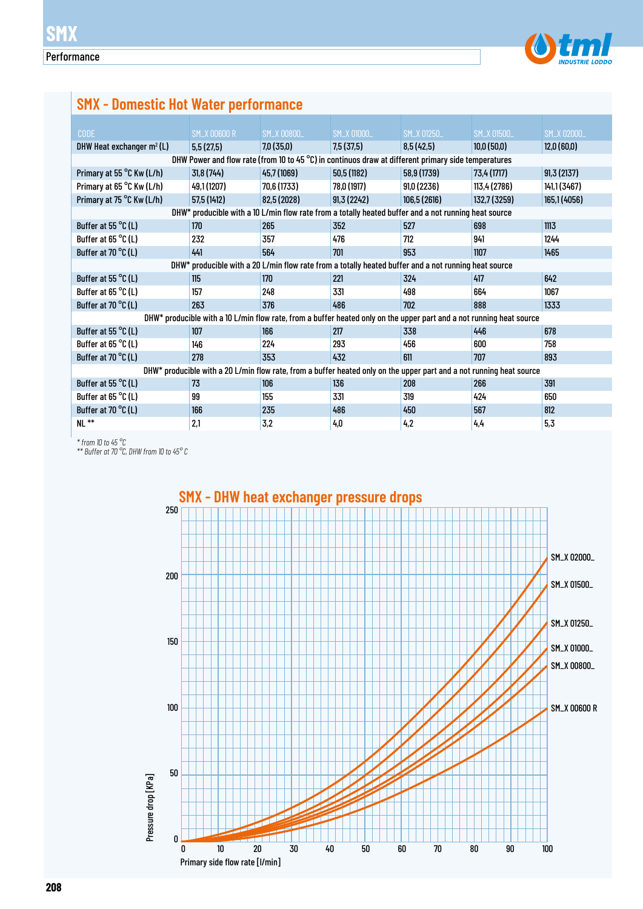

# **SMX - Domestic Hot Water performance**

| <b>CODE</b>                   | <b>SM_X 00600 R</b> | SM_X 00800_                                                                                                          | SM_X 01000_ | SM_X 01250_  | <b>SM_X 01500_</b> | SM_X 02000_  |
|-------------------------------|---------------------|----------------------------------------------------------------------------------------------------------------------|-------------|--------------|--------------------|--------------|
| DHW Heat exchanger $m^2(L)$   | 5,5(27,5)           | 7,0(35,0)                                                                                                            | 7,5 (37,5)  | 8,5(42,5)    | 10,0(50,0)         | 12,0(60,0)   |
|                               |                     | DHW Power and flow rate (from 10 to 45 °C) in continuos draw at different primary side temperatures                  |             |              |                    |              |
| Primary at 55 °C Kw (L/h)     | 31,8 (744)          | 45,7 (1069)                                                                                                          | 50,5 (1182) | 58,9 (1739)  | 73,4 (1717)        | 91,3(2137)   |
| Primary at 65 °C Kw (L/h)     | 49,1 (1207)         | 70,6 (1733)                                                                                                          | 78,0 (1917) | 91,0(2236)   | 113,4 (2786)       | 141,1 (3467) |
| Primary at 75 °C Kw (L/h)     | 57,5 (1412)         | 82,5 (2028)                                                                                                          | 91,3(2242)  | 106,5 (2616) | 132,7 (3259)       | 165,1 (4056) |
|                               |                     | DHW* producible with a 10 L/min flow rate from a totally heated buffer and a not running heat source                 |             |              |                    |              |
| Buffer at 55 $\degree$ C(L)   | 170                 | 265                                                                                                                  | 352         | 527          | 698                | 1113         |
| Buffer at 65 °C (L)           | 232                 | 357                                                                                                                  | 476         | 712          | 941                | 1244         |
| Buffer at 70 °C (L)           | 441                 | 564                                                                                                                  | 701         | 953          | 1107               | 1465         |
|                               |                     | DHW* producible with a 20 L/min flow rate from a totally heated buffer and a not running heat source                 |             |              |                    |              |
| Buffer at 55 $\degree$ C (L)  | 115                 | 170                                                                                                                  | 221         | 324          | 417                | 642          |
| Buffer at 65 $^{\circ}$ C (L) | 157                 | 248                                                                                                                  | 331         | 498          | 664                | 1067         |
| Buffer at 70 °C (L)           | 263                 | 376                                                                                                                  | 486         | 702          | 888                | 1333         |
|                               |                     | DHW* producible with a 10 L/min flow rate, from a buffer heated only on the upper part and a not running heat source |             |              |                    |              |
| Buffer at 55 $^{\circ}$ C (L) | 107                 | 166                                                                                                                  | 217         | 338          | 446                | 678          |
| Buffer at 65 $\degree$ C (L)  | 146                 | 224                                                                                                                  | 293         | 456          | 600                | 758          |
| Buffer at 70 °C (L)           | 278                 | 353                                                                                                                  | 432         | 611          | 707                | 893          |
|                               |                     | DHW* producible with a 20 L/min flow rate, from a buffer heated only on the upper part and a not running heat source |             |              |                    |              |
| Buffer at 55 $\degree$ C (L)  | 73                  | 106                                                                                                                  | 136         | 208          | 266                | 391          |
| Buffer at 65 $^{\circ}$ C (L) | 99                  | 155                                                                                                                  | 331         | 319          | 424                | 650          |
| Buffer at 70 °C (L)           | 166                 | 235                                                                                                                  | 486         | 450          | 567                | 812          |
| $N!$ **                       | 2.1                 | 3,2                                                                                                                  | 4,0         | 4,2          | 4,4                | 5,3          |
|                               |                     |                                                                                                                      |             |              |                    |              |

*\* from 10 to 45 °C*

*\*\* Buffer at 70 °C, DHW from 10 to 45° C*